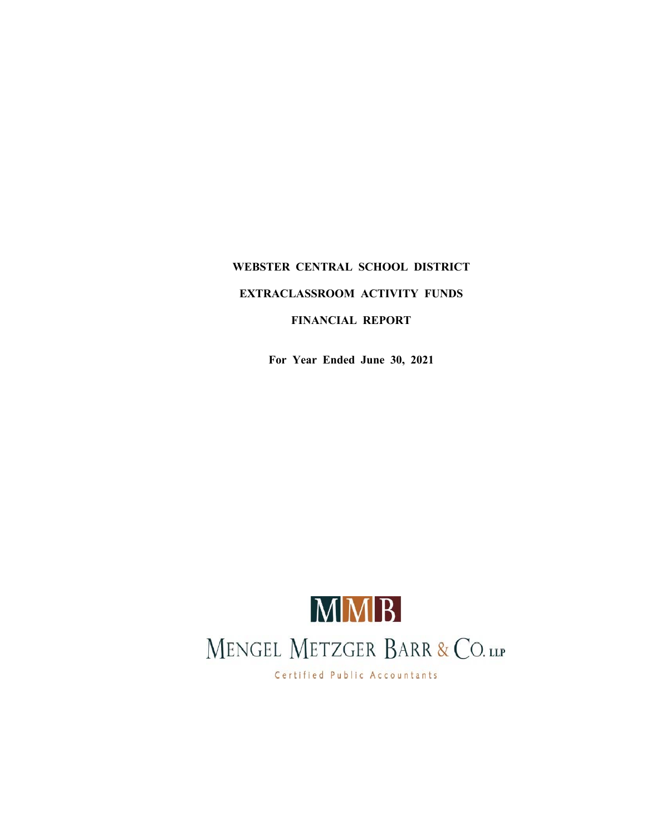## **EXTRACLASSROOM ACTIVITY FUNDS**

## **FINANCIAL REPORT**

**For Year Ended June 30, 2021**

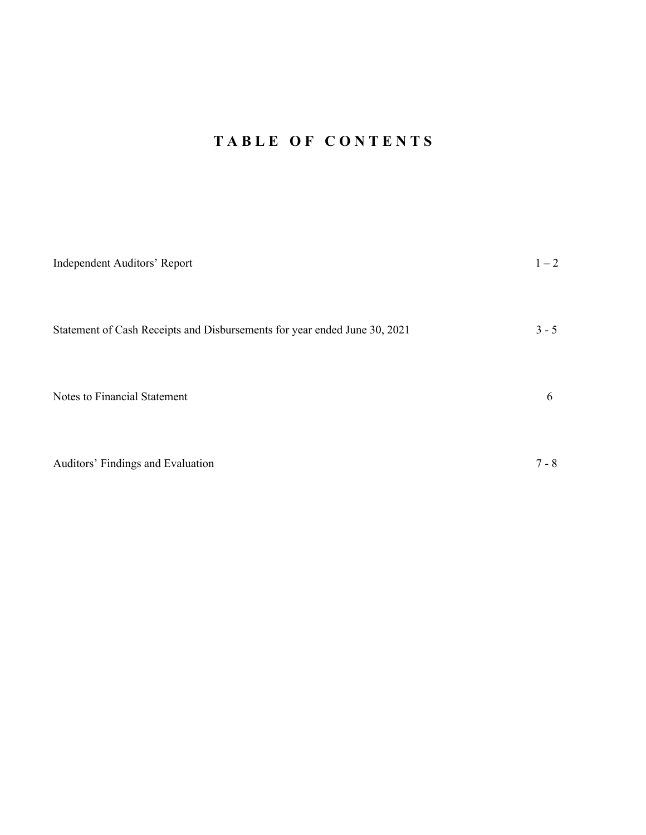# **T A B L E O F C O N T E N T S**

| Independent Auditors' Report                                              | $1 - 2$ |
|---------------------------------------------------------------------------|---------|
| Statement of Cash Receipts and Disbursements for year ended June 30, 2021 | $3 - 5$ |
| Notes to Financial Statement                                              | 6       |
| Auditors' Findings and Evaluation                                         | $7 - 8$ |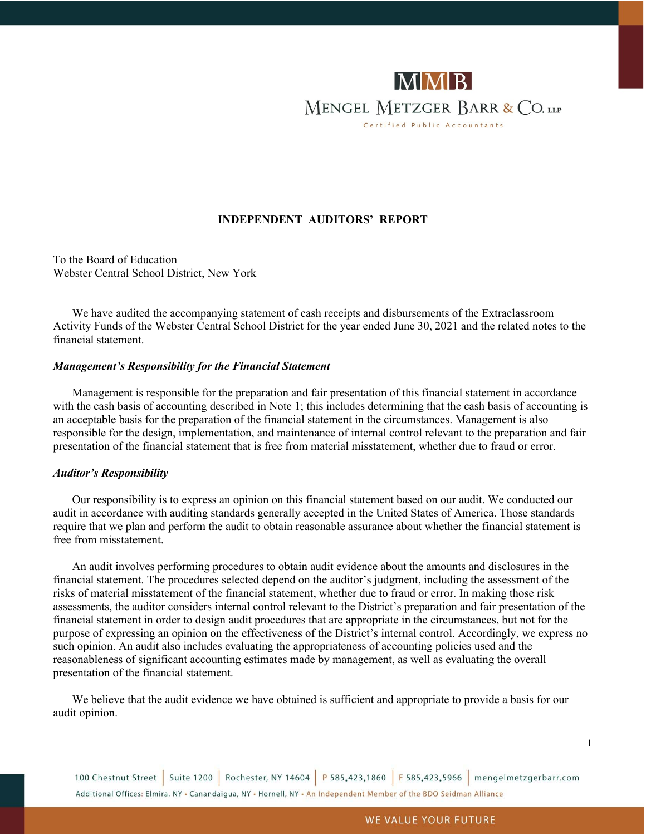

## **INDEPENDENT AUDITORS' REPORT**

To the Board of Education Webster Central School District, New York

We have audited the accompanying statement of cash receipts and disbursements of the Extraclassroom Activity Funds of the Webster Central School District for the year ended June 30, 2021 and the related notes to the financial statement.

#### *Management's Responsibility for the Financial Statement*

Management is responsible for the preparation and fair presentation of this financial statement in accordance with the cash basis of accounting described in Note 1; this includes determining that the cash basis of accounting is an acceptable basis for the preparation of the financial statement in the circumstances. Management is also responsible for the design, implementation, and maintenance of internal control relevant to the preparation and fair presentation of the financial statement that is free from material misstatement, whether due to fraud or error.

#### *Auditor's Responsibility*

Our responsibility is to express an opinion on this financial statement based on our audit. We conducted our audit in accordance with auditing standards generally accepted in the United States of America. Those standards require that we plan and perform the audit to obtain reasonable assurance about whether the financial statement is free from misstatement.

An audit involves performing procedures to obtain audit evidence about the amounts and disclosures in the financial statement. The procedures selected depend on the auditor's judgment, including the assessment of the risks of material misstatement of the financial statement, whether due to fraud or error. In making those risk assessments, the auditor considers internal control relevant to the District's preparation and fair presentation of the financial statement in order to design audit procedures that are appropriate in the circumstances, but not for the purpose of expressing an opinion on the effectiveness of the District's internal control. Accordingly, we express no such opinion. An audit also includes evaluating the appropriateness of accounting policies used and the reasonableness of significant accounting estimates made by management, as well as evaluating the overall presentation of the financial statement.

We believe that the audit evidence we have obtained is sufficient and appropriate to provide a basis for our audit opinion.

100 Chestnut Street | Suite 1200 | Rochester, NY 14604 | P 585.423.1860 | F 585.423.5966 | mengelmetzgerbarr.com Additional Offices: Elmira, NY . Canandaigua, NY . Hornell, NY . An Independent Member of the BDO Seidman Alliance

1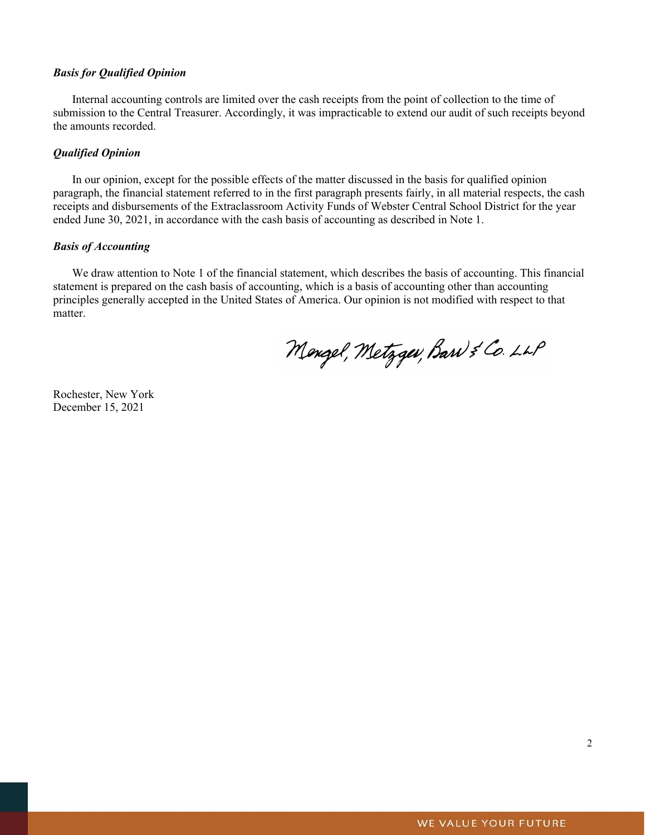### *Basis for Qualified Opinion*

Internal accounting controls are limited over the cash receipts from the point of collection to the time of submission to the Central Treasurer. Accordingly, it was impracticable to extend our audit of such receipts beyond the amounts recorded.

### *Qualified Opinion*

In our opinion, except for the possible effects of the matter discussed in the basis for qualified opinion paragraph, the financial statement referred to in the first paragraph presents fairly, in all material respects, the cash receipts and disbursements of the Extraclassroom Activity Funds of Webster Central School District for the year ended June 30, 2021, in accordance with the cash basis of accounting as described in Note 1.

### *Basis of Accounting*

We draw attention to Note 1 of the financial statement, which describes the basis of accounting. This financial statement is prepared on the cash basis of accounting, which is a basis of accounting other than accounting principles generally accepted in the United States of America. Our opinion is not modified with respect to that matter.

Mongel, Metzgev, Barr) & Co. LLP

Rochester, New York December 15, 2021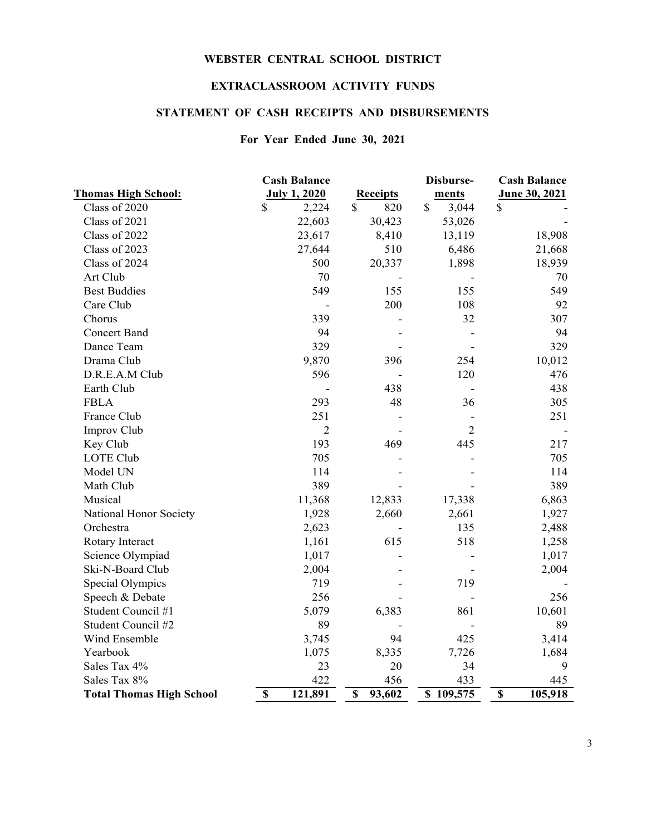## **EXTRACLASSROOM ACTIVITY FUNDS**

## **STATEMENT OF CASH RECEIPTS AND DISBURSEMENTS**

## **For Year Ended June 30, 2021**

|                                 | <b>Cash Balance</b>                  |                       | Disburse-              | <b>Cash Balance</b>                  |
|---------------------------------|--------------------------------------|-----------------------|------------------------|--------------------------------------|
| <b>Thomas High School:</b>      | <b>July 1, 2020</b>                  | <b>Receipts</b>       | ments                  | June 30, 2021                        |
| Class of 2020                   | \$<br>2,224                          | $\mathbb{S}$<br>820   | $\mathsf{\$}$<br>3,044 | \$                                   |
| Class of 2021                   | 22,603                               | 30,423                | 53,026                 |                                      |
| Class of 2022                   | 23,617                               | 8,410                 | 13,119                 | 18,908                               |
| Class of 2023                   | 27,644                               | 510                   | 6,486                  | 21,668                               |
| Class of 2024                   | 500                                  | 20,337                | 1,898                  | 18,939                               |
| Art Club                        | 70                                   |                       |                        | 70                                   |
| <b>Best Buddies</b>             | 549                                  | 155                   | 155                    | 549                                  |
| Care Club                       |                                      | 200                   | 108                    | 92                                   |
| Chorus                          | 339                                  |                       | 32                     | 307                                  |
| <b>Concert Band</b>             | 94                                   |                       |                        | 94                                   |
| Dance Team                      | 329                                  |                       |                        | 329                                  |
| Drama Club                      | 9,870                                | 396                   | 254                    | 10,012                               |
| D.R.E.A.M Club                  | 596                                  |                       | 120                    | 476                                  |
| Earth Club                      |                                      | 438                   |                        | 438                                  |
| <b>FBLA</b>                     | 293                                  | 48                    | 36                     | 305                                  |
| France Club                     | 251                                  |                       |                        | 251                                  |
| Improv Club                     | $\overline{2}$                       |                       | $\overline{2}$         |                                      |
| Key Club                        | 193                                  | 469                   | 445                    | 217                                  |
| <b>LOTE Club</b>                | 705                                  |                       |                        | 705                                  |
| Model UN                        | 114                                  |                       |                        | 114                                  |
| Math Club                       | 389                                  |                       |                        | 389                                  |
| Musical                         | 11,368                               | 12,833                | 17,338                 | 6,863                                |
| National Honor Society          | 1,928                                | 2,660                 | 2,661                  | 1,927                                |
| Orchestra                       | 2,623                                |                       | 135                    | 2,488                                |
| Rotary Interact                 | 1,161                                | 615                   | 518                    | 1,258                                |
| Science Olympiad                | 1,017                                |                       |                        | 1,017                                |
| Ski-N-Board Club                | 2,004                                |                       |                        | 2,004                                |
| Special Olympics                | 719                                  |                       | 719                    |                                      |
| Speech & Debate                 | 256                                  |                       |                        | 256                                  |
| Student Council #1              | 5,079                                | 6,383                 | 861                    | 10,601                               |
| Student Council #2              | 89                                   |                       |                        | 89                                   |
| Wind Ensemble                   | 3,745                                | 94                    | 425                    | 3,414                                |
| Yearbook                        | 1,075                                | 8,335                 | 7,726                  | 1,684                                |
| Sales Tax 4%                    | 23                                   | 20                    | 34                     | 9                                    |
| Sales Tax 8%                    | 422                                  | 456                   | 433                    | 445                                  |
| <b>Total Thomas High School</b> | $\boldsymbol{\mathsf{S}}$<br>121,891 | $\mathbf S$<br>93,602 | $\overline{S}$ 109,575 | $\boldsymbol{\mathsf{S}}$<br>105,918 |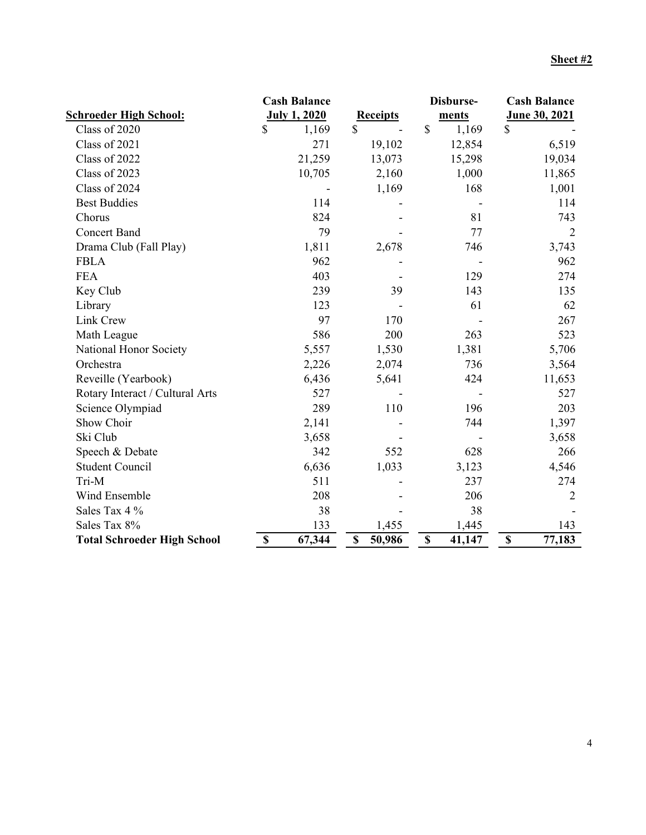| <b>Schroeder High School:</b>      | <b>Cash Balance</b><br><b>July 1, 2020</b> | <b>Receipts</b> | Disburse-<br>ments                  | <b>Cash Balance</b><br>June 30, 2021 |
|------------------------------------|--------------------------------------------|-----------------|-------------------------------------|--------------------------------------|
| Class of 2020                      | \$<br>1,169                                | \$              | \$<br>1,169                         | \$                                   |
| Class of 2021                      | 271                                        | 19,102          | 12,854                              | 6,519                                |
| Class of 2022                      | 21,259                                     | 13,073          | 15,298                              | 19,034                               |
| Class of 2023                      | 10,705                                     | 2,160           | 1,000                               | 11,865                               |
| Class of 2024                      |                                            | 1,169           | 168                                 | 1,001                                |
| <b>Best Buddies</b>                | 114                                        |                 |                                     | 114                                  |
| Chorus                             | 824                                        |                 | 81                                  | 743                                  |
| <b>Concert Band</b>                | 79                                         |                 | 77                                  | 2                                    |
| Drama Club (Fall Play)             | 1,811                                      | 2,678           | 746                                 | 3,743                                |
| <b>FBLA</b>                        | 962                                        |                 |                                     | 962                                  |
| <b>FEA</b>                         | 403                                        |                 | 129                                 | 274                                  |
| Key Club                           | 239                                        | 39              | 143                                 | 135                                  |
| Library                            | 123                                        |                 | 61                                  | 62                                   |
| Link Crew                          | 97                                         | 170             |                                     | 267                                  |
| Math League                        | 586                                        | 200             | 263                                 | 523                                  |
| National Honor Society             | 5,557                                      | 1,530           | 1,381                               | 5,706                                |
| Orchestra                          | 2,226                                      | 2,074           | 736                                 | 3,564                                |
| Reveille (Yearbook)                | 6,436                                      | 5,641           | 424                                 | 11,653                               |
| Rotary Interact / Cultural Arts    | 527                                        |                 |                                     | 527                                  |
| Science Olympiad                   | 289                                        | 110             | 196                                 | 203                                  |
| Show Choir                         | 2,141                                      |                 | 744                                 | 1,397                                |
| Ski Club                           | 3,658                                      |                 |                                     | 3,658                                |
| Speech & Debate                    | 342                                        | 552             | 628                                 | 266                                  |
| <b>Student Council</b>             | 6,636                                      | 1,033           | 3,123                               | 4,546                                |
| Tri-M                              | 511                                        |                 | 237                                 | 274                                  |
| Wind Ensemble                      | 208                                        |                 | 206                                 | $\overline{2}$                       |
| Sales Tax 4 %                      | 38                                         |                 | 38                                  |                                      |
| Sales Tax 8%                       | 133                                        | 1,455           | 1,445                               | 143                                  |
| <b>Total Schroeder High School</b> | \$<br>67,344                               | 50,986<br>\$    | $\boldsymbol{\mathsf{S}}$<br>41,147 | \$<br>77,183                         |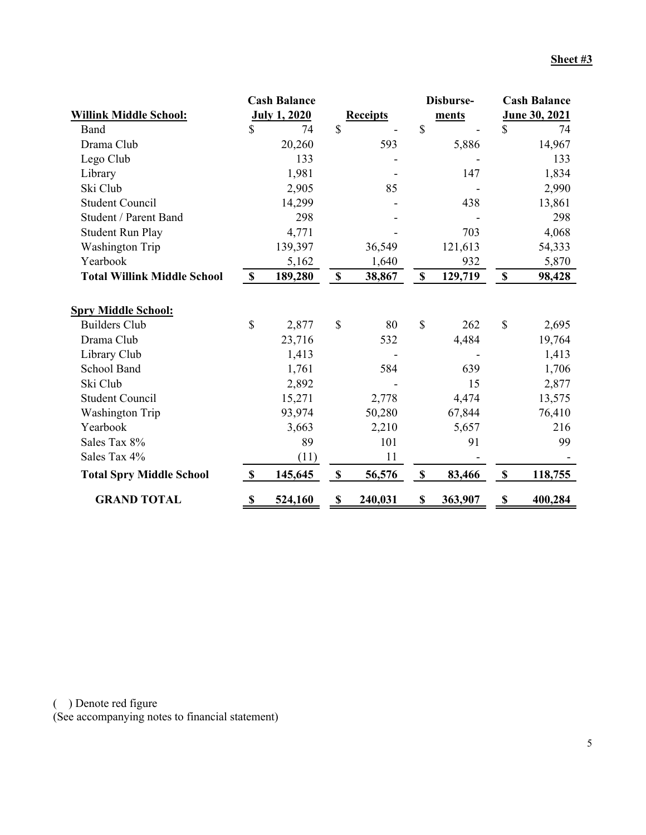|                                    |                    | <b>Cash Balance</b> |                           |                 |                           | Disburse- |                           | <b>Cash Balance</b> |
|------------------------------------|--------------------|---------------------|---------------------------|-----------------|---------------------------|-----------|---------------------------|---------------------|
| <b>Willink Middle School:</b>      |                    | <b>July 1, 2020</b> |                           | <b>Receipts</b> |                           | ments     |                           | June 30, 2021       |
| Band                               | \$                 | 74                  | \$                        |                 | \$                        |           | \$                        | 74                  |
| Drama Club                         |                    | 20,260              |                           | 593             |                           | 5,886     |                           | 14,967              |
| Lego Club                          |                    | 133                 |                           |                 |                           |           |                           | 133                 |
| Library                            |                    | 1,981               |                           |                 |                           | 147       |                           | 1,834               |
| Ski Club                           |                    | 2,905               |                           | 85              |                           |           |                           | 2,990               |
| <b>Student Council</b>             |                    | 14,299              |                           |                 |                           | 438       |                           | 13,861              |
| Student / Parent Band              |                    | 298                 |                           |                 |                           |           |                           | 298                 |
| <b>Student Run Play</b>            |                    | 4,771               |                           |                 |                           | 703       |                           | 4,068               |
| <b>Washington Trip</b>             |                    | 139,397             |                           | 36,549          |                           | 121,613   |                           | 54,333              |
| Yearbook                           |                    | 5,162               |                           | 1,640           |                           | 932       |                           | 5,870               |
| <b>Total Willink Middle School</b> | $\mathbb{S}$       | 189,280             | $\boldsymbol{\mathsf{S}}$ | 38,867          | $\boldsymbol{\mathsf{S}}$ | 129,719   | $\mathbb{S}$              | 98,428              |
| <b>Spry Middle School:</b>         |                    |                     |                           |                 |                           |           |                           |                     |
| <b>Builders Club</b>               | $\mathbf S$        | 2,877               | \$                        | 80              | \$                        | 262       | $\boldsymbol{\mathsf{S}}$ | 2,695               |
| Drama Club                         |                    | 23,716              |                           | 532             |                           | 4,484     |                           | 19,764              |
| Library Club                       |                    | 1,413               |                           |                 |                           |           |                           | 1,413               |
| School Band                        |                    | 1,761               |                           | 584             |                           | 639       |                           | 1,706               |
| Ski Club                           |                    | 2,892               |                           |                 |                           | 15        |                           | 2,877               |
| <b>Student Council</b>             |                    | 15,271              |                           | 2,778           |                           | 4,474     |                           | 13,575              |
| <b>Washington Trip</b>             |                    | 93,974              |                           | 50,280          |                           | 67,844    |                           | 76,410              |
| Yearbook                           |                    | 3,663               |                           | 2,210           |                           | 5,657     |                           | 216                 |
| Sales Tax 8%                       |                    | 89                  |                           | 101             |                           | 91        |                           | 99                  |
| Sales Tax 4%                       |                    | (11)                |                           | 11              |                           |           |                           |                     |
| <b>Total Spry Middle School</b>    | $\mathbf{\hat{s}}$ | 145,645             | $\mathbf S$               | 56,576          | $\boldsymbol{\mathsf{S}}$ | 83,466    | $\mathbb{S}$              | 118,755             |
| <b>GRAND TOTAL</b>                 | \$                 | 524,160             | \$                        | 240,031         | \$                        | 363,907   | \$                        | 400,284             |

( ) Denote red figure

(See accompanying notes to financial statement)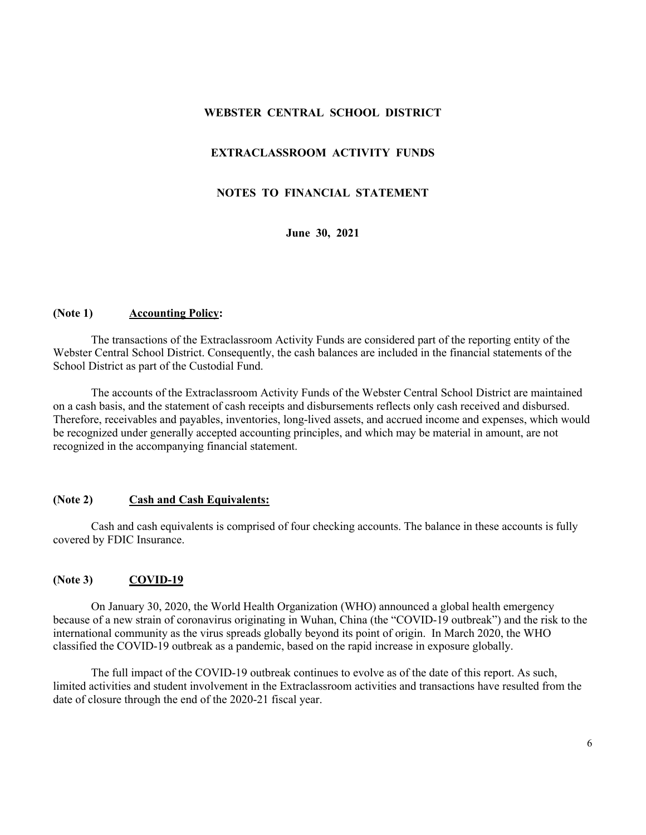## **EXTRACLASSROOM ACTIVITY FUNDS**

## **NOTES TO FINANCIAL STATEMENT**

**June 30, 2021**

## **(Note 1) Accounting Policy:**

The transactions of the Extraclassroom Activity Funds are considered part of the reporting entity of the Webster Central School District. Consequently, the cash balances are included in the financial statements of the School District as part of the Custodial Fund.

The accounts of the Extraclassroom Activity Funds of the Webster Central School District are maintained on a cash basis, and the statement of cash receipts and disbursements reflects only cash received and disbursed. Therefore, receivables and payables, inventories, long-lived assets, and accrued income and expenses, which would be recognized under generally accepted accounting principles, and which may be material in amount, are not recognized in the accompanying financial statement.

#### **(Note 2) Cash and Cash Equivalents:**

Cash and cash equivalents is comprised of four checking accounts. The balance in these accounts is fully covered by FDIC Insurance.

## **(Note 3) COVID-19**

On January 30, 2020, the World Health Organization (WHO) announced a global health emergency because of a new strain of coronavirus originating in Wuhan, China (the "COVID-19 outbreak") and the risk to the international community as the virus spreads globally beyond its point of origin. In March 2020, the WHO classified the COVID-19 outbreak as a pandemic, based on the rapid increase in exposure globally.

The full impact of the COVID-19 outbreak continues to evolve as of the date of this report. As such, limited activities and student involvement in the Extraclassroom activities and transactions have resulted from the date of closure through the end of the 2020-21 fiscal year.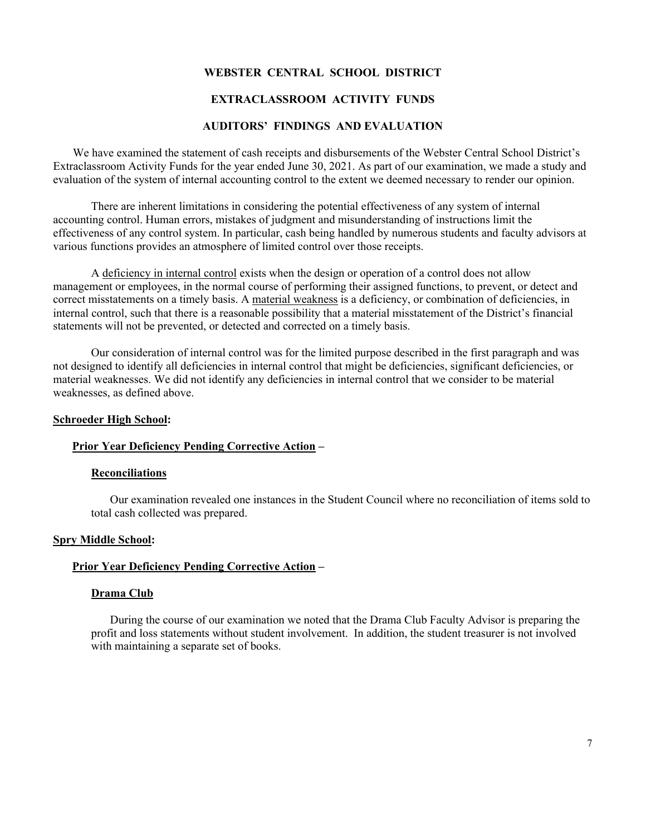## **EXTRACLASSROOM ACTIVITY FUNDS**

## **AUDITORS' FINDINGS AND EVALUATION**

We have examined the statement of cash receipts and disbursements of the Webster Central School District's Extraclassroom Activity Funds for the year ended June 30, 2021. As part of our examination, we made a study and evaluation of the system of internal accounting control to the extent we deemed necessary to render our opinion.

There are inherent limitations in considering the potential effectiveness of any system of internal accounting control. Human errors, mistakes of judgment and misunderstanding of instructions limit the effectiveness of any control system. In particular, cash being handled by numerous students and faculty advisors at various functions provides an atmosphere of limited control over those receipts.

A deficiency in internal control exists when the design or operation of a control does not allow management or employees, in the normal course of performing their assigned functions, to prevent, or detect and correct misstatements on a timely basis. A material weakness is a deficiency, or combination of deficiencies, in internal control, such that there is a reasonable possibility that a material misstatement of the District's financial statements will not be prevented, or detected and corrected on a timely basis.

Our consideration of internal control was for the limited purpose described in the first paragraph and was not designed to identify all deficiencies in internal control that might be deficiencies, significant deficiencies, or material weaknesses. We did not identify any deficiencies in internal control that we consider to be material weaknesses, as defined above.

#### **Schroeder High School:**

## **Prior Year Deficiency Pending Corrective Action –**

## **Reconciliations**

Our examination revealed one instances in the Student Council where no reconciliation of items sold to total cash collected was prepared.

#### **Spry Middle School:**

#### **Prior Year Deficiency Pending Corrective Action –**

#### **Drama Club**

During the course of our examination we noted that the Drama Club Faculty Advisor is preparing the profit and loss statements without student involvement. In addition, the student treasurer is not involved with maintaining a separate set of books.